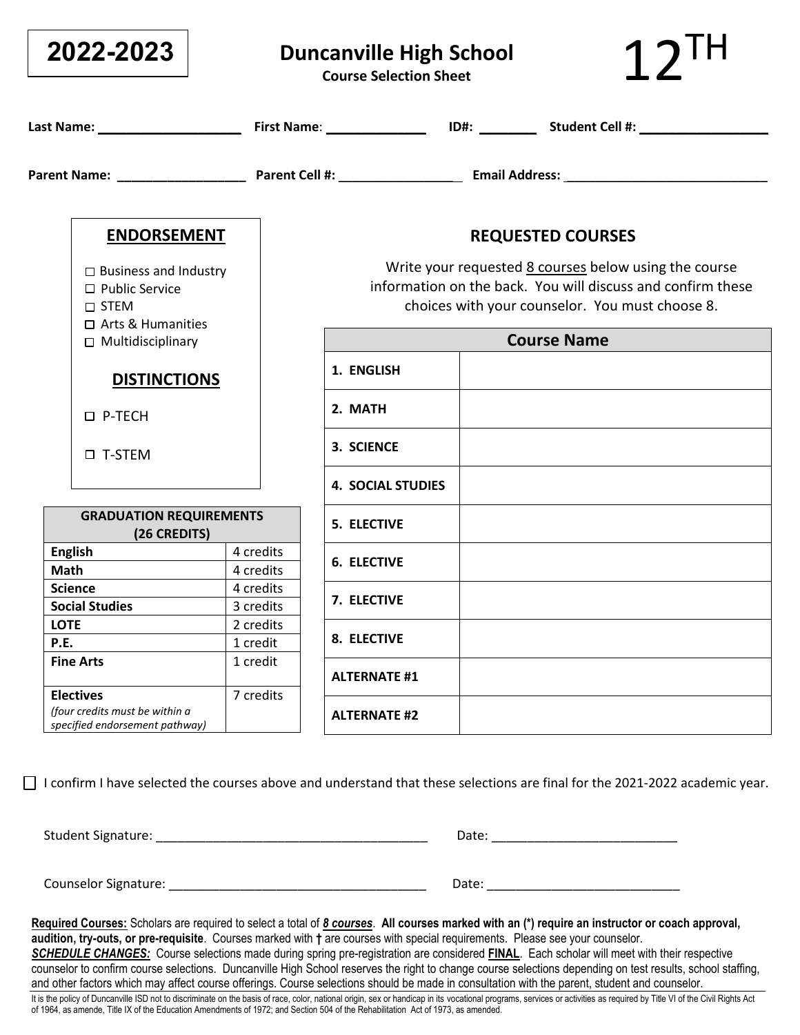| 2022-2023                                                                                           |           | <b>Duncanville High School</b><br><b>Course Selection Sheet</b>                                                                                                         |  |                          |
|-----------------------------------------------------------------------------------------------------|-----------|-------------------------------------------------------------------------------------------------------------------------------------------------------------------------|--|--------------------------|
|                                                                                                     |           |                                                                                                                                                                         |  |                          |
|                                                                                                     |           |                                                                                                                                                                         |  |                          |
| <b>ENDORSEMENT</b>                                                                                  |           |                                                                                                                                                                         |  | <b>REQUESTED COURSES</b> |
| $\Box$ Business and Industry<br>$\Box$ Public Service<br>$\square$ STEM<br>$\Box$ Arts & Humanities |           | Write your requested 8 courses below using the course<br>information on the back. You will discuss and confirm these<br>choices with your counselor. You must choose 8. |  |                          |
| $\Box$ Multidisciplinary                                                                            |           |                                                                                                                                                                         |  | <b>Course Name</b>       |
| <b>DISTINCTIONS</b>                                                                                 |           | 1. ENGLISH                                                                                                                                                              |  |                          |
| □ P-TECH                                                                                            |           | 2. MATH                                                                                                                                                                 |  |                          |
| □ T-STEM                                                                                            |           | 3. SCIENCE                                                                                                                                                              |  |                          |
|                                                                                                     |           | <b>4. SOCIAL STUDIES</b>                                                                                                                                                |  |                          |
| <b>GRADUATION REQUIREMENTS</b><br>(26 CREDITS)                                                      |           | <b>5. ELECTIVE</b>                                                                                                                                                      |  |                          |
| <b>English</b>                                                                                      | 4 credits | <b>6. ELECTIVE</b>                                                                                                                                                      |  |                          |
| <b>Math</b>                                                                                         | 4 credits |                                                                                                                                                                         |  |                          |
| <b>Science</b>                                                                                      | 4 credits | 7. ELECTIVE                                                                                                                                                             |  |                          |
| <b>Social Studies</b>                                                                               | 3 credits |                                                                                                                                                                         |  |                          |
| <b>LOTE</b>                                                                                         | 2 credits | 8. ELECTIVE                                                                                                                                                             |  |                          |
| P.E.                                                                                                | 1 credit  |                                                                                                                                                                         |  |                          |
| <b>Fine Arts</b>                                                                                    | 1 credit  | <b>ALTERNATE #1</b>                                                                                                                                                     |  |                          |
| <b>Electives</b><br>(four credits must be within a<br>specified endorsement pathway)                | 7 credits | <b>ALTERNATE #2</b>                                                                                                                                                     |  |                          |

□ I confirm I have selected the courses above and understand that these selections are final for the 2021-2022 academic year.

Student Signature: \_\_\_\_\_\_\_\_\_\_\_\_\_\_\_\_\_\_\_\_\_\_\_\_\_\_\_\_\_\_\_\_\_\_\_\_\_\_ Date: \_\_\_\_\_\_\_\_\_\_\_\_\_\_\_\_\_\_\_\_\_\_\_\_\_\_

Counselor Signature: \_\_\_\_\_\_\_\_\_\_\_\_\_\_\_\_\_\_\_\_\_\_\_\_\_\_\_\_\_\_\_\_\_\_\_\_ Date: \_\_\_\_\_\_\_\_\_\_\_\_\_\_\_\_\_\_\_\_\_\_\_\_\_\_\_

**Required Courses:** Scholars are required to select a total of *8 courses*. **All courses marked with an (\*) require an instructor or coach approval, audition, try-outs, or pre-requisite**. Courses marked with **†** are courses with special requirements. Please see your counselor. *SCHEDULE CHANGES:* Course selections made during spring pre-registration are considered **FINAL**. Each scholar will meet with their respective counselor to confirm course selections. Duncanville High School reserves the right to change course selections depending on test results, school staffing, and other factors which may affect course offerings. Course selections should be made in consultation with the parent, student and counselor. It is the policy of Duncanville ISD not to discriminate on the basis of race, color, national origin, sex or handicap in its vocational programs, services or activities as required by Title VI of the Civil Rights Act of 1964, as amende, Title IX of the Education Amendments of 1972; and Section 504 of the Rehabilitation Act of 1973, as amended.